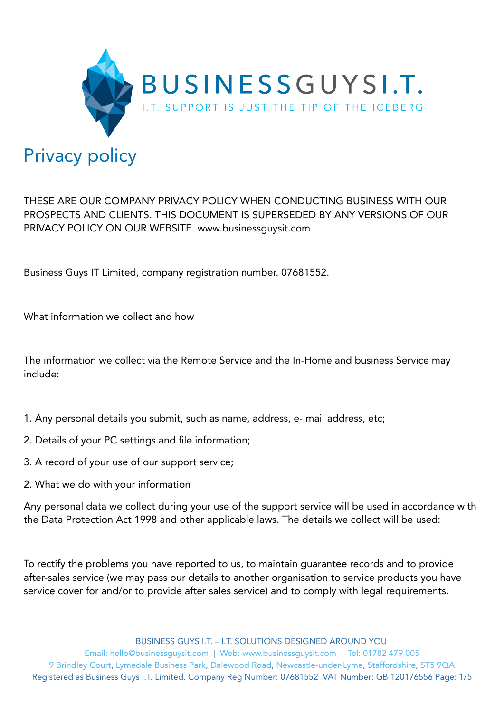

THESE ARE OUR COMPANY PRIVACY POLICY WHEN CONDUCTING BUSINESS WITH OUR PROSPECTS AND CLIENTS. THIS DOCUMENT IS SUPERSEDED BY ANY VERSIONS OF OUR PRIVACY POLICY ON OUR WEBSITE. www.businessguysit.com

Business Guys IT Limited, company registration number. 07681552.

What information we collect and how

The information we collect via the Remote Service and the In-Home and business Service may include:

- 1. Any personal details you submit, such as name, address, e- mail address, etc;
- 2. Details of your PC settings and file information;
- 3. A record of your use of our support service;
- 2. What we do with your information

Any personal data we collect during your use of the support service will be used in accordance with the Data Protection Act 1998 and other applicable laws. The details we collect will be used:

To rectify the problems you have reported to us, to maintain guarantee records and to provide after-sales service (we may pass our details to another organisation to service products you have service cover for and/or to provide after sales service) and to comply with legal requirements.

BUSINESS GUYS I.T. – I.T. SOLUTIONS DESIGNED AROUND YOU

Email: hello@businessguysit.com | Web: www.businessguysit.com | Tel: 01782 479 005 9 Brindley Court, Lymedale Business Park, Dalewood Road, Newcastle-under-Lyme, Staffordshire, ST5 9QA Registered as Business Guys I.T. Limited. Company Reg Number: 07681552 VAT Number: GB 120176556 Page: 1/5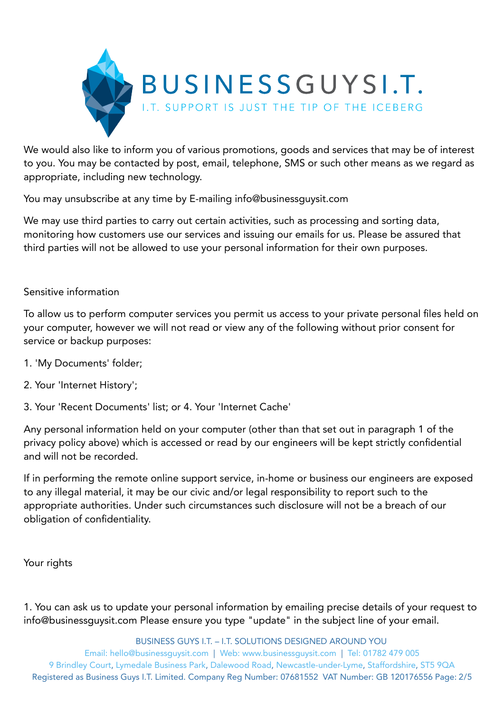

We would also like to inform you of various promotions, goods and services that may be of interest to you. You may be contacted by post, email, telephone, SMS or such other means as we regard as appropriate, including new technology.

You may unsubscribe at any time by E-mailing info@businessguysit.com

We may use third parties to carry out certain activities, such as processing and sorting data, monitoring how customers use our services and issuing our emails for us. Please be assured that third parties will not be allowed to use your personal information for their own purposes.

## Sensitive information

To allow us to perform computer services you permit us access to your private personal files held on your computer, however we will not read or view any of the following without prior consent for service or backup purposes:

- 1. 'My Documents' folder;
- 2. Your 'Internet History';
- 3. Your 'Recent Documents' list; or 4. Your 'Internet Cache'

Any personal information held on your computer (other than that set out in paragraph 1 of the privacy policy above) which is accessed or read by our engineers will be kept strictly confidential and will not be recorded.

If in performing the remote online support service, in-home or business our engineers are exposed to any illegal material, it may be our civic and/or legal responsibility to report such to the appropriate authorities. Under such circumstances such disclosure will not be a breach of our obligation of confidentiality.

Your rights

1. You can ask us to update your personal information by emailing precise details of your request to info@businessguysit.com Please ensure you type "update" in the subject line of your email.

BUSINESS GUYS I.T. – I.T. SOLUTIONS DESIGNED AROUND YOU

Email: hello@businessguysit.com | Web: www.businessguysit.com | Tel: 01782 479 005 9 Brindley Court, Lymedale Business Park, Dalewood Road, Newcastle-under-Lyme, Staffordshire, ST5 9QA Registered as Business Guys I.T. Limited. Company Reg Number: 07681552 VAT Number: GB 120176556 Page: 2/5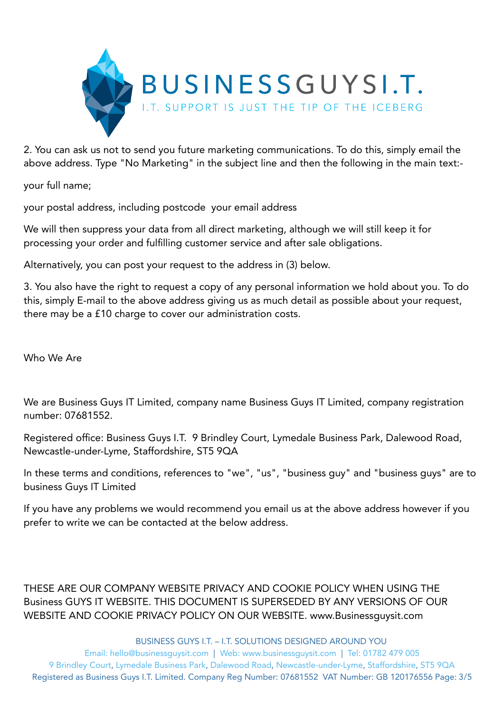

2. You can ask us not to send you future marketing communications. To do this, simply email the above address. Type "No Marketing" in the subject line and then the following in the main text:-

your full name;

your postal address, including postcode your email address

We will then suppress your data from all direct marketing, although we will still keep it for processing your order and fulfilling customer service and after sale obligations.

Alternatively, you can post your request to the address in (3) below.

3. You also have the right to request a copy of any personal information we hold about you. To do this, simply E-mail to the above address giving us as much detail as possible about your request, there may be a £10 charge to cover our administration costs.

Who We Are

We are Business Guys IT Limited, company name Business Guys IT Limited, company registration number: 07681552.

Registered office: Business Guys I.T. 9 Brindley Court, Lymedale Business Park, Dalewood Road, Newcastle-under-Lyme, Staffordshire, ST5 9QA

In these terms and conditions, references to "we", "us", "business guy" and "business guys" are to business Guys IT Limited

If you have any problems we would recommend you email us at the above address however if you prefer to write we can be contacted at the below address.

THESE ARE OUR COMPANY WEBSITE PRIVACY AND COOKIE POLICY WHEN USING THE Business GUYS IT WEBSITE. THIS DOCUMENT IS SUPERSEDED BY ANY VERSIONS OF OUR WEBSITE AND COOKIE PRIVACY POLICY ON OUR WEBSITE. www.Businessguysit.com

BUSINESS GUYS I.T. – I.T. SOLUTIONS DESIGNED AROUND YOU

Email: hello@businessguysit.com | Web: www.businessguysit.com | Tel: 01782 479 005 9 Brindley Court, Lymedale Business Park, Dalewood Road, Newcastle-under-Lyme, Staffordshire, ST5 9QA Registered as Business Guys I.T. Limited. Company Reg Number: 07681552 VAT Number: GB 120176556 Page: 3/5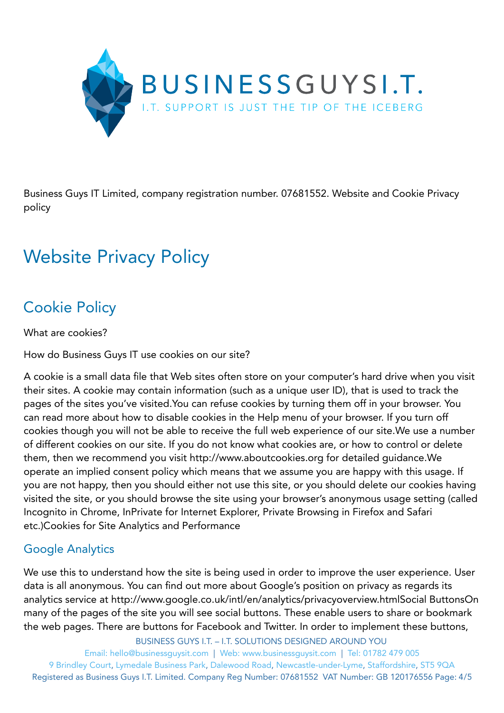

Business Guys IT Limited, company registration number. 07681552. Website and Cookie Privacy policy

## Website Privacy Policy

## Cookie Policy

What are cookies?

How do Business Guys IT use cookies on our site?

A cookie is a small data file that Web sites often store on your computer's hard drive when you visit their sites. A cookie may contain information (such as a unique user ID), that is used to track the pages of the sites you've visited.You can refuse cookies by turning them off in your browser. You can read more about how to disable cookies in the Help menu of your browser. If you turn off cookies though you will not be able to receive the full web experience of our site.We use a number of different cookies on our site. If you do not know what cookies are, or how to control or delete them, then we recommend you visit http://www.aboutcookies.org for detailed guidance.We operate an implied consent policy which means that we assume you are happy with this usage. If you are not happy, then you should either not use this site, or you should delete our cookies having visited the site, or you should browse the site using your browser's anonymous usage setting (called Incognito in Chrome, InPrivate for Internet Explorer, Private Browsing in Firefox and Safari etc.)Cookies for Site Analytics and Performance

## Google Analytics

We use this to understand how the site is being used in order to improve the user experience. User data is all anonymous. You can find out more about Google's position on privacy as regards its analytics service at http://www.google.co.uk/intl/en/analytics/privacyoverview.htmlSocial ButtonsOn many of the pages of the site you will see social buttons. These enable users to share or bookmark the web pages. There are buttons for Facebook and Twitter. In order to implement these buttons,

BUSINESS GUYS I.T. – I.T. SOLUTIONS DESIGNED AROUND YOU

Email: hello@businessguysit.com | Web: www.businessguysit.com | Tel: 01782 479 005 9 Brindley Court, Lymedale Business Park, Dalewood Road, Newcastle-under-Lyme, Staffordshire, ST5 9QA Registered as Business Guys I.T. Limited. Company Reg Number: 07681552 VAT Number: GB 120176556 Page: 4/5